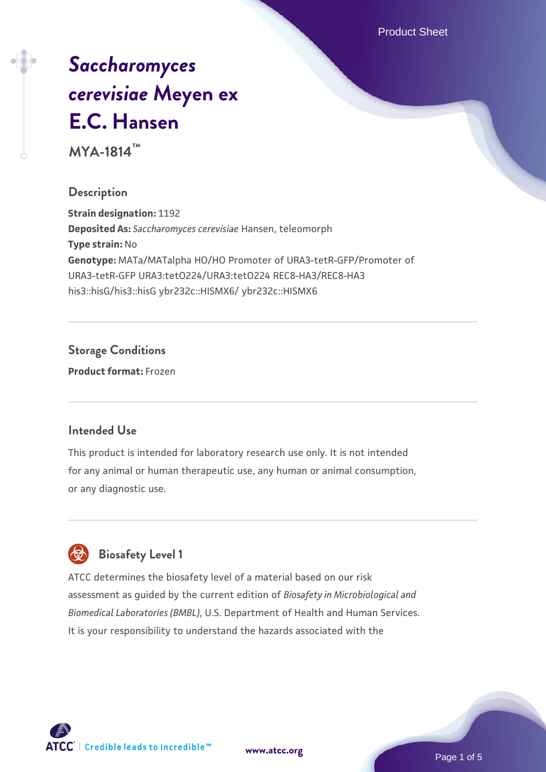Product Sheet

# *[Saccharomyces](https://www.atcc.org/products/mya-1814) [cerevisiae](https://www.atcc.org/products/mya-1814)* **[Meyen ex](https://www.atcc.org/products/mya-1814) [E.C. Hansen](https://www.atcc.org/products/mya-1814)**

**MYA-1814™**

#### **Description**

**Strain designation:** 1192 **Deposited As:** *Saccharomyces cerevisiae* Hansen, teleomorph **Type strain:** No **Genotype:** MATa/MATalpha HO/HO Promoter of URA3-tetR-GFP/Promoter of URA3-tetR-GFP URA3:tetO224/URA3:tetO224 REC8-HA3/REC8-HA3 his3::hisG/his3::hisG ybr232c::HISMX6/ ybr232c::HISMX6

# **Storage Conditions**

**Product format:** Frozen

# **Intended Use**

This product is intended for laboratory research use only. It is not intended for any animal or human therapeutic use, any human or animal consumption, or any diagnostic use.



# **Biosafety Level 1**

ATCC determines the biosafety level of a material based on our risk assessment as guided by the current edition of *Biosafety in Microbiological and Biomedical Laboratories (BMBL)*, U.S. Department of Health and Human Services. It is your responsibility to understand the hazards associated with the

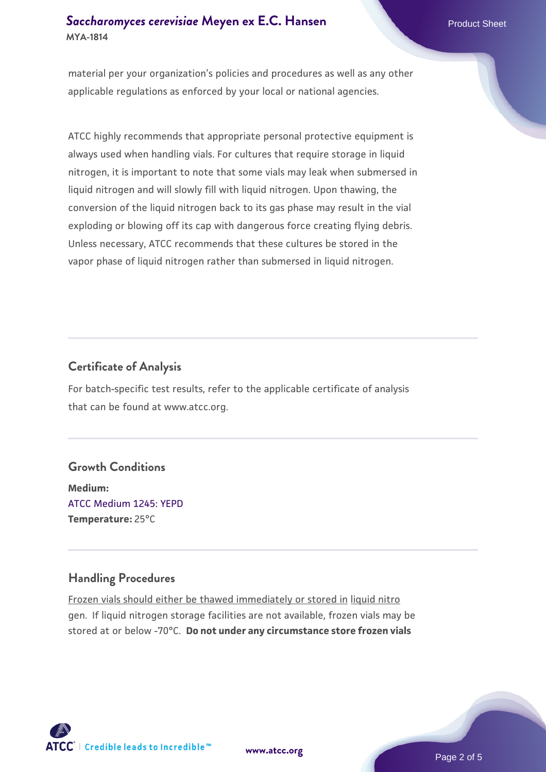## **[Saccharomyces cerevisiae](https://www.atcc.org/products/mya-1814)** [Meyen ex E.C. Hansen](https://www.atcc.org/products/mya-1814) **MYA-1814**

material per your organization's policies and procedures as well as any other applicable regulations as enforced by your local or national agencies.

ATCC highly recommends that appropriate personal protective equipment is always used when handling vials. For cultures that require storage in liquid nitrogen, it is important to note that some vials may leak when submersed in liquid nitrogen and will slowly fill with liquid nitrogen. Upon thawing, the conversion of the liquid nitrogen back to its gas phase may result in the vial exploding or blowing off its cap with dangerous force creating flying debris. Unless necessary, ATCC recommends that these cultures be stored in the vapor phase of liquid nitrogen rather than submersed in liquid nitrogen.

# **Certificate of Analysis**

For batch-specific test results, refer to the applicable certificate of analysis that can be found at www.atcc.org.

# **Growth Conditions**

**Medium:**  [ATCC Medium 1245: YEPD](https://www.atcc.org/-/media/product-assets/documents/microbial-media-formulations/1/2/4/5/atcc-medium-1245.pdf?rev=705ca55d1b6f490a808a965d5c072196) **Temperature:** 25°C

# **Handling Procedures**

Frozen vials should either be thawed immediately or stored in liquid nitro gen. If liquid nitrogen storage facilities are not available, frozen vials may be stored at or below -70°C. **Do not under any circumstance store frozen vials**



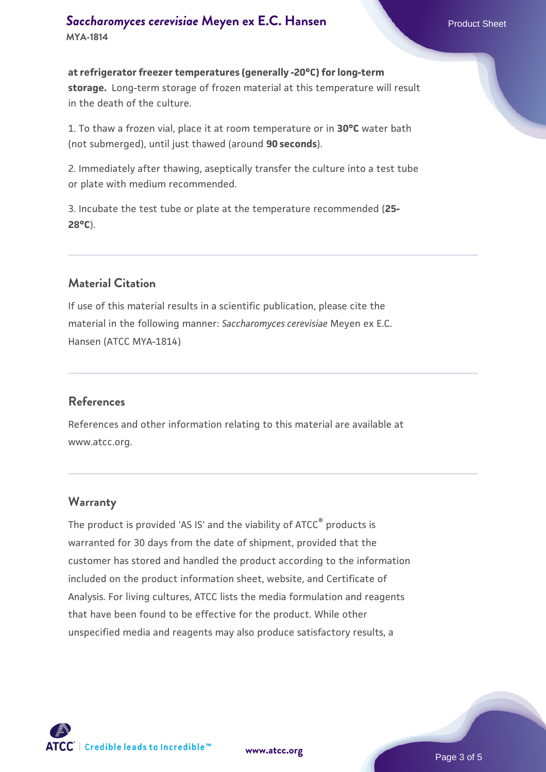#### **[Saccharomyces cerevisiae](https://www.atcc.org/products/mya-1814)** [Meyen ex E.C. Hansen](https://www.atcc.org/products/mya-1814) **MYA-1814**

**at refrigerator freezer temperatures (generally -20°C) for long-term storage.** Long-term storage of frozen material at this temperature will result in the death of the culture.

1. To thaw a frozen vial, place it at room temperature or in **30°C** water bath (not submerged), until just thawed (around **90 seconds**).

2. Immediately after thawing, aseptically transfer the culture into a test tube or plate with medium recommended.

3. Incubate the test tube or plate at the temperature recommended (**25- 28°C**).

# **Material Citation**

If use of this material results in a scientific publication, please cite the material in the following manner: *Saccharomyces cerevisiae* Meyen ex E.C. Hansen (ATCC MYA-1814)

#### **References**

References and other information relating to this material are available at www.atcc.org.

#### **Warranty**

The product is provided 'AS IS' and the viability of ATCC® products is warranted for 30 days from the date of shipment, provided that the customer has stored and handled the product according to the information included on the product information sheet, website, and Certificate of Analysis. For living cultures, ATCC lists the media formulation and reagents that have been found to be effective for the product. While other unspecified media and reagents may also produce satisfactory results, a



**[www.atcc.org](http://www.atcc.org)**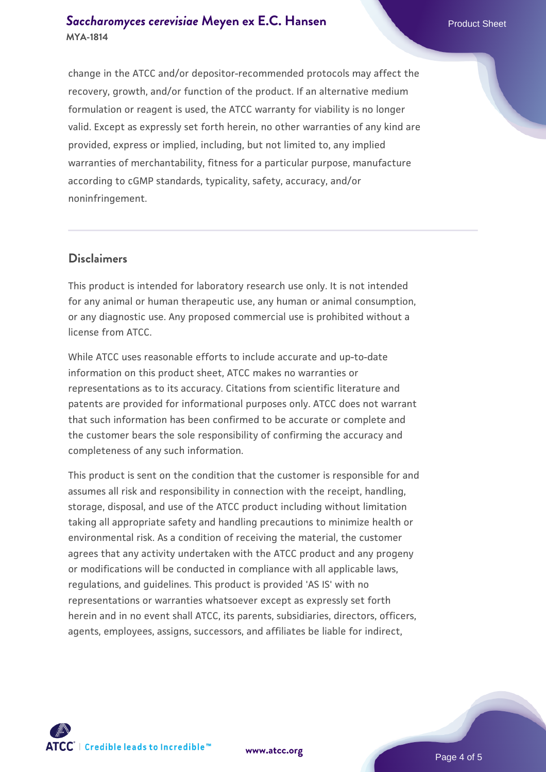#### **[Saccharomyces cerevisiae](https://www.atcc.org/products/mya-1814)** [Meyen ex E.C. Hansen](https://www.atcc.org/products/mya-1814) **MYA-1814**

change in the ATCC and/or depositor-recommended protocols may affect the recovery, growth, and/or function of the product. If an alternative medium formulation or reagent is used, the ATCC warranty for viability is no longer valid. Except as expressly set forth herein, no other warranties of any kind are provided, express or implied, including, but not limited to, any implied warranties of merchantability, fitness for a particular purpose, manufacture according to cGMP standards, typicality, safety, accuracy, and/or noninfringement.

#### **Disclaimers**

This product is intended for laboratory research use only. It is not intended for any animal or human therapeutic use, any human or animal consumption, or any diagnostic use. Any proposed commercial use is prohibited without a license from ATCC.

While ATCC uses reasonable efforts to include accurate and up-to-date information on this product sheet, ATCC makes no warranties or representations as to its accuracy. Citations from scientific literature and patents are provided for informational purposes only. ATCC does not warrant that such information has been confirmed to be accurate or complete and the customer bears the sole responsibility of confirming the accuracy and completeness of any such information.

This product is sent on the condition that the customer is responsible for and assumes all risk and responsibility in connection with the receipt, handling, storage, disposal, and use of the ATCC product including without limitation taking all appropriate safety and handling precautions to minimize health or environmental risk. As a condition of receiving the material, the customer agrees that any activity undertaken with the ATCC product and any progeny or modifications will be conducted in compliance with all applicable laws, regulations, and guidelines. This product is provided 'AS IS' with no representations or warranties whatsoever except as expressly set forth herein and in no event shall ATCC, its parents, subsidiaries, directors, officers, agents, employees, assigns, successors, and affiliates be liable for indirect,